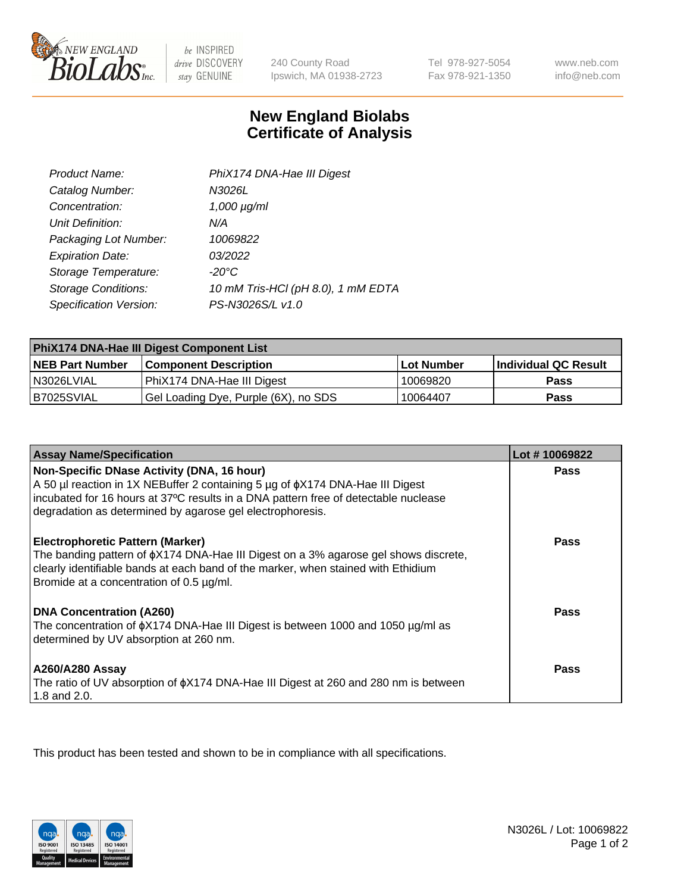

be INSPIRED drive DISCOVERY stay GENUINE

240 County Road Ipswich, MA 01938-2723 Tel 978-927-5054 Fax 978-921-1350

www.neb.com info@neb.com

## **New England Biolabs Certificate of Analysis**

| Product Name:              | PhiX174 DNA-Hae III Digest         |
|----------------------------|------------------------------------|
| Catalog Number:            | N3026L                             |
| Concentration:             | $1,000 \mu g/ml$                   |
| Unit Definition:           | N/A                                |
| Packaging Lot Number:      | 10069822                           |
| <b>Expiration Date:</b>    | 03/2022                            |
| Storage Temperature:       | $-20^{\circ}$ C                    |
| <b>Storage Conditions:</b> | 10 mM Tris-HCl (pH 8.0), 1 mM EDTA |
| Specification Version:     | PS-N3026S/L v1.0                   |

| PhiX174 DNA-Hae III Digest Component List |                                      |                   |                      |  |
|-------------------------------------------|--------------------------------------|-------------------|----------------------|--|
| <b>NEB Part Number</b>                    | <b>Component Description</b>         | <b>Lot Number</b> | Individual QC Result |  |
| N3026LVIAL                                | PhiX174 DNA-Hae III Digest           | 10069820          | <b>Pass</b>          |  |
| B7025SVIAL                                | Gel Loading Dye, Purple (6X), no SDS | 10064407          | <b>Pass</b>          |  |

| <b>Assay Name/Specification</b>                                                                                                                                                                                                                                                       | Lot #10069822 |
|---------------------------------------------------------------------------------------------------------------------------------------------------------------------------------------------------------------------------------------------------------------------------------------|---------------|
| Non-Specific DNase Activity (DNA, 16 hour)<br>A 50 µl reaction in 1X NEBuffer 2 containing 5 µg of $\phi$ X174 DNA-Hae III Digest<br>incubated for 16 hours at 37°C results in a DNA pattern free of detectable nuclease<br>degradation as determined by agarose gel electrophoresis. | <b>Pass</b>   |
| <b>Electrophoretic Pattern (Marker)</b><br>The banding pattern of $\phi$ X174 DNA-Hae III Digest on a 3% agarose gel shows discrete,<br>clearly identifiable bands at each band of the marker, when stained with Ethidium<br>Bromide at a concentration of 0.5 µg/ml.                 | Pass          |
| DNA Concentration (A260)<br>The concentration of $\phi$ X174 DNA-Hae III Digest is between 1000 and 1050 µg/ml as<br>determined by UV absorption at 260 nm.                                                                                                                           | Pass          |
| A260/A280 Assay<br>The ratio of UV absorption of $\phi$ X174 DNA-Hae III Digest at 260 and 280 nm is between<br>1.8 and 2.0.                                                                                                                                                          | Pass          |

This product has been tested and shown to be in compliance with all specifications.